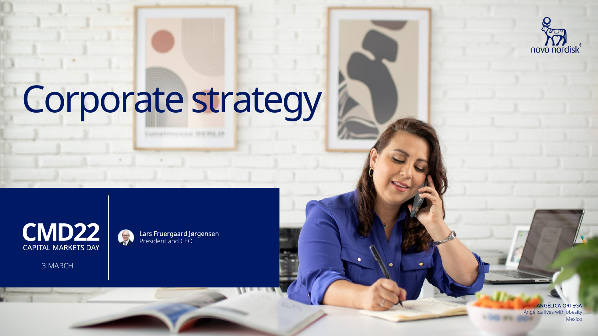

# Corporate strategy

**Curratoresse DEMLB** 



3 MARCH

Lars Fruergaard Jørgensen President and CEO

> ANGÉLICA ORTEGA Angélica lives with obesity Mexico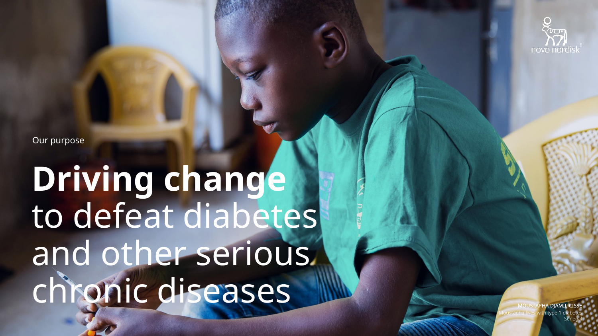

Our purpose

## **Driving change** to defeat diabetes and other serious chronic diseases

**OUSTAPHA DIAMIL** Moustapha lives with type 1 diabetes Senegal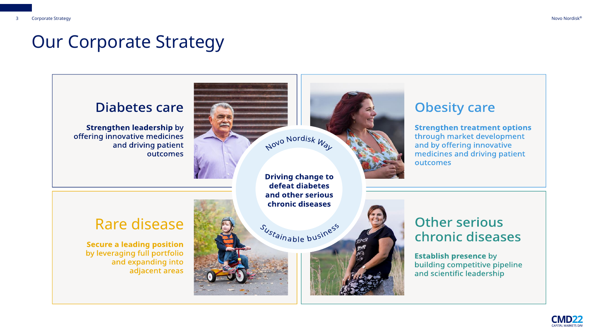#### Our Corporate Strategy



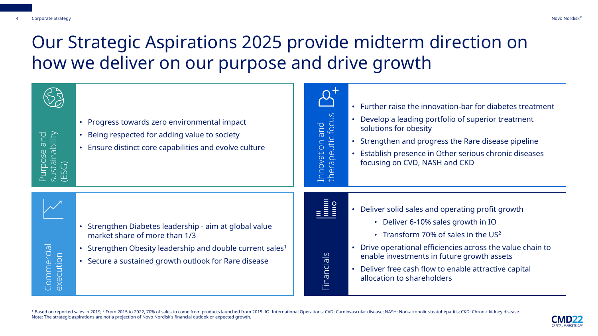### Our Strategic Aspirations 2025 provide midterm direction on how we deliver on our purpose and drive growth



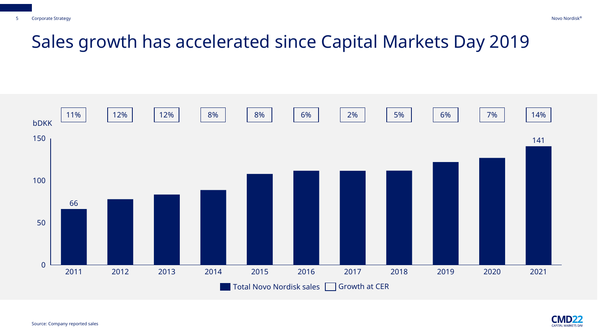#### Sales growth has accelerated since Capital Markets Day 2019



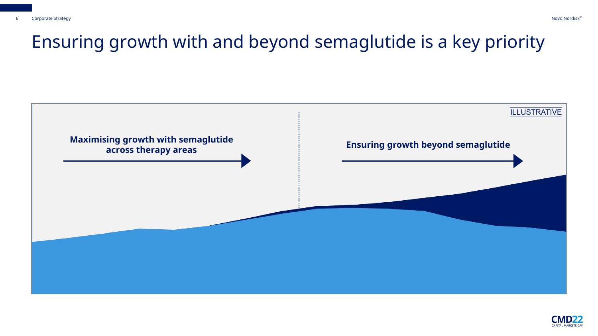### Ensuring growth with and beyond semaglutide is a key priority



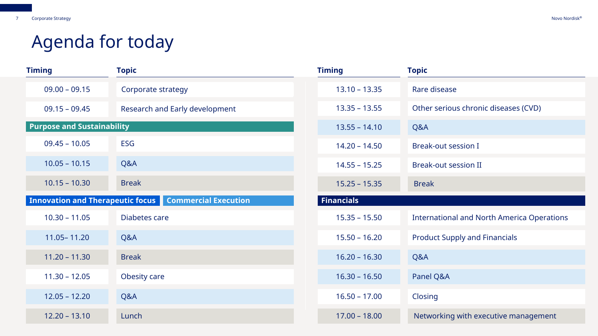### Agenda for today

| <b>Timing</b>                                                | <b>Topic</b>                   | <b>Timing</b>     | <b>Topic</b>                                      |
|--------------------------------------------------------------|--------------------------------|-------------------|---------------------------------------------------|
| $09.00 - 09.15$                                              | Corporate strategy             | $13.10 - 13.35$   | Rare disease                                      |
| $09.15 - 09.45$                                              | Research and Early development | $13.35 - 13.55$   | Other serious chronic diseases (CVD)              |
| <b>Purpose and Sustainability</b>                            |                                | $13.55 - 14.10$   | Q&A                                               |
| $09.45 - 10.05$                                              | <b>ESG</b>                     | $14.20 - 14.50$   | <b>Break-out session I</b>                        |
| $10.05 - 10.15$                                              | Q&A                            | $14.55 - 15.25$   | <b>Break-out session II</b>                       |
| $10.15 - 10.30$                                              | <b>Break</b>                   | $15.25 - 15.35$   | <b>Break</b>                                      |
| <b>Innovation and Therapeutic focus Commercial Execution</b> |                                | <b>Financials</b> |                                                   |
| $10.30 - 11.05$                                              | Diabetes care                  | $15.35 - 15.50$   | <b>International and North America Operations</b> |
| 11.05 - 11.20                                                | Q&A                            | $15.50 - 16.20$   | <b>Product Supply and Financials</b>              |
| $11.20 - 11.30$                                              | <b>Break</b>                   | $16.20 - 16.30$   | Q&A                                               |
| $11.30 - 12.05$                                              | Obesity care                   | $16.30 - 16.50$   | Panel Q&A                                         |
| $12.05 - 12.20$                                              | Q&A                            | $16.50 - 17.00$   | Closing                                           |
| $12.20 - 13.10$                                              | Lunch                          | $17.00 - 18.00$   | Networking with executive management              |